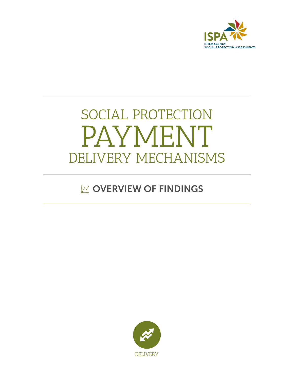

# SOCIAL PROTECTION PAYMENT DELIVERY MECHANISMS

## $\mathbb{R}$  OVERVIEW OF FINDINGS

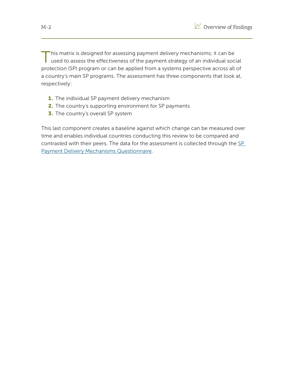This matrix is designed for assessing payment delivery mechanisms; it can be used to assess the effectiveness of the payment strategy of an individual social protection (SP) program or can be applied from a systems perspective across all of a country's main SP programs. The assessment has three components that look at, respectively:

- 1. The individual SP payment delivery mechanism
- 2. The country's supporting environment for SP payments
- **3.** The country's overall SP system

This last component creates a baseline against which change can be measured over time and enables individual countries conducting this review to be compared and contrasted with their peers. The data for the assessment is collected through the SP Payment Delivery Mechanisms Questionnaire.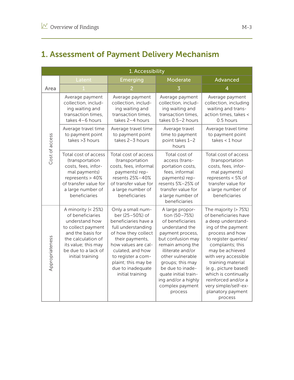### 1. Assessment of Payment Delivery Mechanism

|                 | 1. Accessibility                                                                                                                                                                            |                                                                                                                                                                                                                                                               |                                                                                                                                                                                                                                                                                                   |                                                                                                                                                                                                                                                                                                                                                          |  |
|-----------------|---------------------------------------------------------------------------------------------------------------------------------------------------------------------------------------------|---------------------------------------------------------------------------------------------------------------------------------------------------------------------------------------------------------------------------------------------------------------|---------------------------------------------------------------------------------------------------------------------------------------------------------------------------------------------------------------------------------------------------------------------------------------------------|----------------------------------------------------------------------------------------------------------------------------------------------------------------------------------------------------------------------------------------------------------------------------------------------------------------------------------------------------------|--|
|                 | Latent                                                                                                                                                                                      | Emerging                                                                                                                                                                                                                                                      | Moderate                                                                                                                                                                                                                                                                                          | Advanced                                                                                                                                                                                                                                                                                                                                                 |  |
| Area            |                                                                                                                                                                                             |                                                                                                                                                                                                                                                               |                                                                                                                                                                                                                                                                                                   | 4                                                                                                                                                                                                                                                                                                                                                        |  |
| Cost of access  | Average payment<br>collection, includ-<br>ing waiting and<br>transaction times,<br>takes 4-6 hours                                                                                          | Average payment<br>collection, includ-<br>ing waiting and<br>transaction times,<br>takes 2-4 hours                                                                                                                                                            | Average payment<br>collection, includ-<br>ing waiting and<br>transaction times,<br>takes 0.5-2 hours                                                                                                                                                                                              | Average payment<br>collection, including<br>waiting and trans-<br>action times, takes <<br>0.5 hours                                                                                                                                                                                                                                                     |  |
|                 | Average travel time<br>to payment point<br>takes > 3 hours                                                                                                                                  | Average travel time<br>to payment point<br>takes 2-3 hours                                                                                                                                                                                                    | Average travel<br>time to payment<br>point takes 1-2<br>hours                                                                                                                                                                                                                                     | Average travel time<br>to payment point<br>takes $<$ 1 hour                                                                                                                                                                                                                                                                                              |  |
|                 | Total cost of access<br>(transportation<br>costs, fees, infor-<br>mal payments)<br>represents > 40%<br>of transfer value for<br>a large number of<br>beneficiaries                          | Total cost of access<br>(transportation<br>costs, fees, informal<br>payments) rep-<br>resents 25%-40%<br>of transfer value for<br>a large number of<br>beneficiaries                                                                                          | Total cost of<br>access (trans-<br>portation costs,<br>fees, informal<br>payments) rep-<br>resents 5%-25% of<br>transfer value for<br>a large number of<br>beneficiaries                                                                                                                          | Total cost of access<br>(transportation<br>costs, fees, infor-<br>mal payments)<br>represents < 5% of<br>transfer value for<br>a large number of<br>beneficiaries                                                                                                                                                                                        |  |
| Appropriateness | A minority (< 25%)<br>of beneficiaries<br>understand how<br>to collect payment<br>and the basis for<br>the calculation of<br>its value; this may<br>be due to a lack of<br>initial training | Only a small num-<br>ber (25-50%) of<br>beneficiaries have a<br>full understanding<br>of how they collect<br>their payments,<br>how values are cal-<br>culated, and how<br>to register a com-<br>plaint; this may be<br>due to inadequate<br>initial training | A large propor-<br>tion (50-75%)<br>of beneficiaries<br>understand the<br>payment process,<br>but confusion may<br>remain among the<br>illiterate and/or<br>other vulnerable<br>groups; this may<br>be due to inade-<br>quate initial train-<br>ing and/or a highly<br>complex payment<br>process | The majority (> 75%)<br>of beneficiaries have<br>a deep understand-<br>ing of the payment<br>process and how<br>to register queries/<br>complaints; this<br>may be achieved<br>with very accessible<br>training material<br>(e.g., picture based)<br>which is continually<br>reinforced and/or a<br>very simple/self-ex-<br>planatory payment<br>process |  |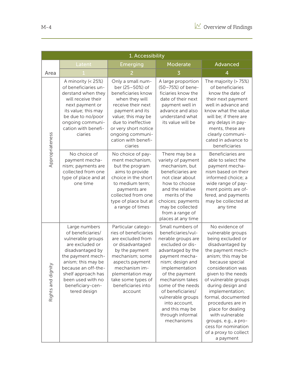|                    | 1. Accessibility                                                                                                                                                                                                                                |                                                                                                                                                                                                                                                 |                                                                                                                                                                                                                                                                                                                                         |                                                                                                                                                                                                                                                                                                                                                                                                                               |  |  |
|--------------------|-------------------------------------------------------------------------------------------------------------------------------------------------------------------------------------------------------------------------------------------------|-------------------------------------------------------------------------------------------------------------------------------------------------------------------------------------------------------------------------------------------------|-----------------------------------------------------------------------------------------------------------------------------------------------------------------------------------------------------------------------------------------------------------------------------------------------------------------------------------------|-------------------------------------------------------------------------------------------------------------------------------------------------------------------------------------------------------------------------------------------------------------------------------------------------------------------------------------------------------------------------------------------------------------------------------|--|--|
|                    | Latent                                                                                                                                                                                                                                          | Moderate<br>Emerging                                                                                                                                                                                                                            |                                                                                                                                                                                                                                                                                                                                         | Advanced                                                                                                                                                                                                                                                                                                                                                                                                                      |  |  |
| Area               |                                                                                                                                                                                                                                                 |                                                                                                                                                                                                                                                 |                                                                                                                                                                                                                                                                                                                                         | $\overline{4}$                                                                                                                                                                                                                                                                                                                                                                                                                |  |  |
| Appropriateness    | A minority (< 25%)<br>of beneficiaries un-<br>derstand when they<br>will receive their<br>next payment or<br>its value; this may<br>be due to no/poor<br>ongoing communi-<br>cation with benefi-<br>ciaries                                     | Only a small num-<br>ber (25-50%) of<br>beneficiaries know<br>when they will<br>receive their next<br>payment and its<br>value; this may be<br>due to ineffective<br>or very short notice<br>ongoing communi-<br>cation with benefi-<br>ciaries | A large proportion<br>(50-75%) of bene-<br>ficiaries know the<br>date of their next<br>payment well in<br>advance and also<br>understand what<br>its value will be                                                                                                                                                                      | The majority (> 75%)<br>of beneficiaries<br>know the date of<br>their next payment<br>well in advance and<br>know what the value<br>will be; if there are<br>any delays in pay-<br>ments, these are<br>clearly communi-<br>cated in advance to<br>beneficiaries                                                                                                                                                               |  |  |
|                    | No choice of<br>payment mecha-<br>nism; payments are<br>collected from one<br>type of place and at<br>one time                                                                                                                                  | No choice of pay-<br>ment mechanism,<br>but the program<br>aims to provide<br>choice in the short<br>to medium term;<br>payments are<br>collected from one<br>type of place but at<br>a range of times                                          | There may be a<br>variety of payment<br>mechanism, but<br>beneficiaries are<br>not clear about<br>how to choose<br>and the relative<br>merits of the<br>choices; payments<br>may be collected<br>from a range of<br>places at any time                                                                                                  | Beneficiaries are<br>able to select the<br>payment mecha-<br>nism based on their<br>informed choice; a<br>wide range of pay-<br>ment points are of-<br>fered, and payments<br>may be collected at<br>any time                                                                                                                                                                                                                 |  |  |
| Rights and dignity | Large numbers<br>of beneficiaries/<br>vulnerable groups<br>are excluded or<br>disadvantaged by<br>the payment mech-<br>anism; this may be<br>because an off-the-<br>shelf approach has<br>been used with no<br>beneficiary-cen-<br>tered design | Particular catego-<br>ries of beneficiaries<br>are excluded from<br>or disadvantaged<br>by the payment<br>mechanism; some<br>aspects payment<br>mechanism im-<br>plementation may<br>take some types of<br>beneficiaries into<br>account        | Small numbers of<br>beneficiaries/vul-<br>nerable groups are<br>excluded or dis-<br>advantaged by the<br>payment mecha-<br>nism; design and<br>implementation<br>of the payment<br>mechanism takes<br>some of the needs<br>of beneficiaries/<br>vulnerable groups<br>into account,<br>and this may be<br>through informal<br>mechanisms | No evidence of<br>vulnerable groups<br>being excluded or<br>disadvantaged by<br>the payment mech-<br>anism; this may be<br>because special<br>consideration was<br>given to the needs<br>of vulnerable groups<br>during design and<br>implementation;<br>formal, documented<br>procedures are in<br>place for dealing<br>with vulnerable<br>groups, e.g., a pro-<br>cess for nomination<br>of a proxy to collect<br>a payment |  |  |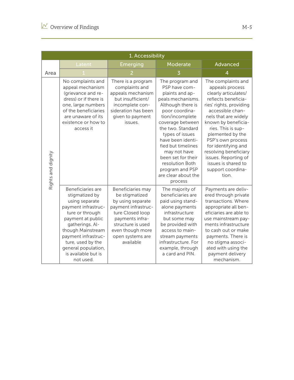|                    | 1. Accessibility                                                                                                                                                                                                                                                    |                                                                                                                                                                                                  |                                                                                                                                                                                                                                                                                                                                                         |                                                                                                                                                                                                                                                                                                                                                                                |  |
|--------------------|---------------------------------------------------------------------------------------------------------------------------------------------------------------------------------------------------------------------------------------------------------------------|--------------------------------------------------------------------------------------------------------------------------------------------------------------------------------------------------|---------------------------------------------------------------------------------------------------------------------------------------------------------------------------------------------------------------------------------------------------------------------------------------------------------------------------------------------------------|--------------------------------------------------------------------------------------------------------------------------------------------------------------------------------------------------------------------------------------------------------------------------------------------------------------------------------------------------------------------------------|--|
|                    | Latent                                                                                                                                                                                                                                                              | <b>Emerging</b>                                                                                                                                                                                  | Moderate                                                                                                                                                                                                                                                                                                                                                | Advanced                                                                                                                                                                                                                                                                                                                                                                       |  |
| Area               |                                                                                                                                                                                                                                                                     |                                                                                                                                                                                                  |                                                                                                                                                                                                                                                                                                                                                         | 4                                                                                                                                                                                                                                                                                                                                                                              |  |
| Rights and dignity | No complaints and<br>appeal mechanism<br>(grievance and re-<br>dress) or if there is<br>one, large numbers<br>of the beneficiaries<br>are unaware of its<br>existence or how to<br>access it                                                                        | There is a program<br>complaints and<br>appeals mechanism<br>but insufficient/<br>incomplete con-<br>sideration has been<br>given to payment<br>issues.                                          | The program and<br>PSP have com-<br>plaints and ap-<br>peals mechanisms.<br>Although there is<br>poor coordina-<br>tion/incomplete<br>coverage between<br>the two. Standard<br>types of issues<br>have been identi-<br>fied but timelines<br>may not have<br>been set for their<br>resolution Both<br>program and PSP<br>are clear about the<br>process | The complaints and<br>appeals process<br>clearly articulates/<br>reflects beneficia-<br>ries' rights, providing<br>accessible chan-<br>nels that are widely<br>known by beneficia-<br>ries. This is sup-<br>plemented by the<br>PSP's own process<br>for identifying and<br>resolving beneficiary<br>issues. Reporting of<br>issues is shared to<br>support coordina-<br>tion. |  |
|                    | Beneficiaries are<br>stigmatized by<br>using separate<br>payment infrastruc-<br>ture or through<br>payment at public<br>gatherings. Al-<br>though Mainstream<br>payment infrastruc-<br>ture, used by the<br>general population,<br>is available but is<br>not used. | Beneficiaries may<br>be stigmatized<br>by using separate<br>payment infrastruc-<br>ture Closed loop<br>payments infra-<br>structure is used<br>even though more<br>open systems are<br>available | The majority of<br>beneficiaries are<br>paid using stand-<br>alone payments<br>infrastructure<br>but some may<br>be provided with<br>access to main-<br>stream payments<br>infrastructure. For<br>example, through<br>a card and PIN.                                                                                                                   | Payments are deliv-<br>ered through private<br>transactions. Where<br>appropriate all ben-<br>eficiaries are able to<br>use mainstream pay-<br>ments infrastructure<br>to cash out or make<br>payments. There is<br>no stigma associ-<br>ated with using the<br>payment delivery<br>mechanism.                                                                                 |  |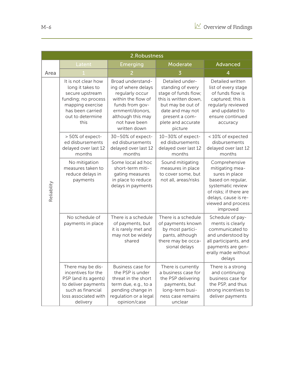|             | 2. Robustness                                                                                                                                         |                                                                                                                                                                               |                                                                                                                                                                                   |                                                                                                                                                                                  |  |  |
|-------------|-------------------------------------------------------------------------------------------------------------------------------------------------------|-------------------------------------------------------------------------------------------------------------------------------------------------------------------------------|-----------------------------------------------------------------------------------------------------------------------------------------------------------------------------------|----------------------------------------------------------------------------------------------------------------------------------------------------------------------------------|--|--|
|             | Latent                                                                                                                                                | Emerging                                                                                                                                                                      | Moderate                                                                                                                                                                          | Advanced                                                                                                                                                                         |  |  |
| Area        |                                                                                                                                                       |                                                                                                                                                                               |                                                                                                                                                                                   |                                                                                                                                                                                  |  |  |
|             | It is not clear how<br>long it takes to<br>secure upstream<br>funding; no process<br>mapping exercise<br>has been carried<br>out to determine<br>this | Broad understand-<br>ing of where delays<br>regularly occur<br>within the flow of<br>funds from gov-<br>ernment/donors,<br>although this may<br>not have been<br>written down | Detailed under-<br>standing of every<br>stage of funds flow;<br>this is written down,<br>but may be out of<br>date and may not<br>present a com-<br>plete and accurate<br>picture | Detailed written<br>list of every stage<br>of funds flow is<br>captured; this is<br>regularly reviewed<br>and updated to<br>ensure continued<br>accuracy                         |  |  |
|             | > 50% of expect-<br>ed disbursements<br>delayed over last 12<br>months                                                                                | 30-50% of expect-<br>ed disbursements<br>delayed over last 12<br>months                                                                                                       | 10-30% of expect-<br>ed disbursements<br>delayed over last 12<br>months                                                                                                           | <10% of expected<br>disbursements<br>delayed over last 12<br>months                                                                                                              |  |  |
| Reliability | No mitigation<br>measures taken to<br>reduce delays in<br>payments                                                                                    | Some local ad hoc<br>short-term miti-<br>gating measures<br>in place to reduce<br>delays in payments                                                                          | Sound mitigating<br>measures in place<br>to cover some, but<br>not all, areas/risks                                                                                               | Comprehensive<br>mitigating mea-<br>sures in place<br>based on regular,<br>systematic review<br>of risks; if there are<br>delays, cause is re-<br>viewed and process<br>improved |  |  |
|             | No schedule of<br>payments in place                                                                                                                   | There is a schedule<br>of payments, but<br>it is rarely met and<br>may not be widely<br>shared                                                                                | There is a schedule<br>of payments known<br>by most partici-<br>pants, although<br>there may be occa-<br>sional delays                                                            | Schedule of pay-<br>ments is clearly<br>communicated to<br>and understood by<br>all participants, and<br>payments are gen-<br>erally made without<br>delays                      |  |  |
|             | There may be dis-<br>incentives for the<br>PSP (and its agents)<br>to deliver payments<br>such as financial<br>loss associated with<br>delivery       | Business case for<br>the PSP is under<br>threat in the short<br>term due, e.g., to a<br>pending change in<br>regulation or a legal<br>opinion/case                            | There is currently<br>a business case for<br>the PSP delivering<br>payments, but<br>long-term busi-<br>ness case remains<br>unclear                                               | There is a strong<br>and continuing<br>business case for<br>the PSP, and thus<br>strong incentives to<br>deliver payments                                                        |  |  |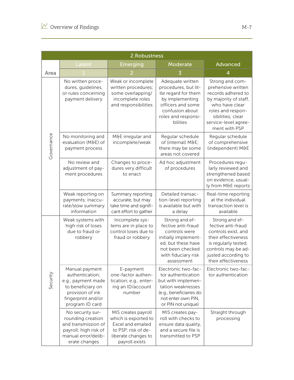|            | 2.Robustness                                                                                                                              |                                                                                                                                  |                                                                                                                                                               |                                                                                                                                                                                           |  |  |
|------------|-------------------------------------------------------------------------------------------------------------------------------------------|----------------------------------------------------------------------------------------------------------------------------------|---------------------------------------------------------------------------------------------------------------------------------------------------------------|-------------------------------------------------------------------------------------------------------------------------------------------------------------------------------------------|--|--|
|            | Latent                                                                                                                                    | Emerging                                                                                                                         | Moderate                                                                                                                                                      | Advanced                                                                                                                                                                                  |  |  |
| Area       |                                                                                                                                           |                                                                                                                                  |                                                                                                                                                               |                                                                                                                                                                                           |  |  |
|            | No written proce-<br>dures, guidelines,<br>or rules concerning<br>payment delivery                                                        | Weak or incomplete<br>written procedures;<br>some overlapping/<br>incomplete roles<br>and responsibilities                       | Adequate written<br>procedures, but lit-<br>tle regard for them<br>by implementing<br>officers and some<br>confusion about<br>roles and responsi-<br>bilities | Strong and com-<br>prehensive written<br>records adhered to<br>by majority of staff,<br>who have clear<br>roles and respon-<br>sibilities; clear<br>service-level agree-<br>ment with PSP |  |  |
| Governance | No monitoring and<br>evaluation (M&E) of<br>payment process                                                                               | M&E irregular and<br>incomplete/weak                                                                                             | Regular schedule<br>of (internal) M&E<br>there may be some<br>areas not covered                                                                               | Regular schedule<br>of comprehensive<br>(independent) M&E                                                                                                                                 |  |  |
|            | No review and<br>adjustment of pay-<br>ment procedures                                                                                    | Changes to proce-<br>dures very difficult<br>to enact                                                                            | Ad hoc adjustment<br>of procedures                                                                                                                            | Procedures regu-<br>larly reviewed and<br>strengthened based<br>on evidence, usual-<br>ly from M&E reports                                                                                |  |  |
|            | Weak reporting on<br>payments; inaccu-<br>rate/slow summary<br>information                                                                | Summary reporting<br>accurate, but may<br>take time and signifi-<br>cant effort to gather                                        | Detailed transac-<br>tion-level reporting<br>is available but with<br>a delay                                                                                 | Real-time reporting<br>at the individual<br>transaction level is<br>available                                                                                                             |  |  |
|            | Weak systems with<br>high risk of loses<br>due to fraud or<br>robbery                                                                     | Incomplete sys-<br>tems are in place to<br>control loses due to<br>fraud or robbery                                              | Strong and ef-<br>fective anti-fraud<br>controls were<br>initially implement-<br>ed, but these have<br>not been checked<br>with fiduciary risk<br>assessment  | Strong and ef-<br>fective anti-fraud<br>controls exist, and<br>their effectiveness<br>is regularly tested;<br>controls may be ad-<br>justed according to<br>their effectiveness           |  |  |
| Security   | Manual payment<br>authentication;<br>e.g., payment made<br>to beneficiary on<br>provision of ink<br>fingerprint and/or<br>program ID card | E-payment<br>one-factor authen-<br>tication; e.g., enter-<br>ing an ID/account<br>number                                         | Electronic two-fac-<br>tor authentication<br>but with implemen-<br>tation weaknesses<br>(e.g., beneficiaries do<br>not enter own PIN,<br>or PIN not unique)   | Electronic two-fac-<br>tor authentication                                                                                                                                                 |  |  |
|            | No security sur-<br>rounding creation<br>and transmission of<br>payroll; high risk of<br>manual error/delib-<br>erate changes             | MIS creates payroll<br>which is exported to<br>Excel and emailed<br>to PSP; risk of de-<br>liberate changes to<br>payroll exists | MIS creates pay-<br>roll with checks to<br>ensure data quality,<br>and a secure file is<br>transmitted to PSP                                                 | Straight through<br>processing                                                                                                                                                            |  |  |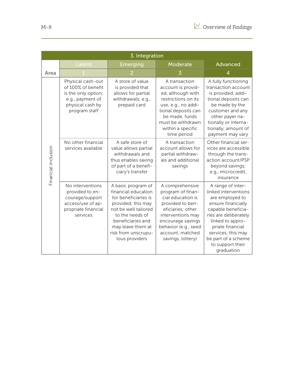|                     | 3. Integration                                                                                                          |                                                                                                                                                                                                                       |                                                                                                                                                                                                               |                                                                                                                                                                                                                                                          |  |
|---------------------|-------------------------------------------------------------------------------------------------------------------------|-----------------------------------------------------------------------------------------------------------------------------------------------------------------------------------------------------------------------|---------------------------------------------------------------------------------------------------------------------------------------------------------------------------------------------------------------|----------------------------------------------------------------------------------------------------------------------------------------------------------------------------------------------------------------------------------------------------------|--|
|                     | Latent                                                                                                                  | Emerging                                                                                                                                                                                                              | Moderate                                                                                                                                                                                                      | Advanced                                                                                                                                                                                                                                                 |  |
| Area                |                                                                                                                         |                                                                                                                                                                                                                       |                                                                                                                                                                                                               |                                                                                                                                                                                                                                                          |  |
|                     | Physical cash-out<br>of 100% of benefit<br>is the only option;<br>e.g., payment of<br>physical cash by<br>program staff | A store of value<br>is provided that<br>allows for partial<br>withdrawals; e.g.,<br>prepaid card                                                                                                                      | A transaction<br>account is provid-<br>ed, although with<br>restrictions on its<br>use; e.g., no addi-<br>tional deposits can<br>be made, funds<br>must be withdrawn<br>within a specific<br>time period      | A fully functioning<br>transaction account<br>is provided; addi-<br>tional deposits can<br>be made by the<br>customer and any<br>other payer na-<br>tionally or interna-<br>tionally; amount of<br>payment may vary                                      |  |
| Financial inclusion | No other financial<br>services available                                                                                | A safe store of<br>value allows partial<br>withdrawals and<br>thus enables saving<br>of part of a benefi-<br>ciary's transfer                                                                                         | A transaction<br>account allows for<br>partial withdraw-<br>als and additional<br>savings                                                                                                                     | Other financial ser-<br>vices are accessible<br>through the trans-<br>action account/PSP<br>beyond savings;<br>e.g., microcredit,<br>insurance                                                                                                           |  |
|                     | No interventions<br>provided to en-<br>courage/support<br>access/use of ap-<br>propriate financial<br>services          | A basic program of<br>financial education<br>for beneficiaries is<br>provided; this may<br>not be well tailored<br>to the needs of<br>beneficiaries and<br>may leave them at<br>risk from unscrupu-<br>lous providers | A comprehensive<br>program of finan-<br>cial education is<br>provided to ben-<br>eficiaries; other<br>interventions may<br>encourage savings<br>behavior (e.g., seed<br>account, matched<br>savings, lottery) | A range of inter-<br>linked interventions<br>are employed to<br>ensure financially<br>capable beneficia-<br>ries are deliberately<br>linked to appro-<br>priate financial<br>services; this may<br>be part of a scheme<br>to support their<br>graduation |  |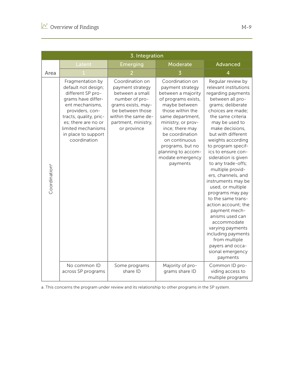|                           | 3. Integration                                                                                                                                                                                                                         |                                                                                                                                                                                 |                                                                                                                                                                                                                                                                                                  |                                                                                                                                                                                                                                                                                                                                                                                                                                                                                                                                                                                                                                                      |  |
|---------------------------|----------------------------------------------------------------------------------------------------------------------------------------------------------------------------------------------------------------------------------------|---------------------------------------------------------------------------------------------------------------------------------------------------------------------------------|--------------------------------------------------------------------------------------------------------------------------------------------------------------------------------------------------------------------------------------------------------------------------------------------------|------------------------------------------------------------------------------------------------------------------------------------------------------------------------------------------------------------------------------------------------------------------------------------------------------------------------------------------------------------------------------------------------------------------------------------------------------------------------------------------------------------------------------------------------------------------------------------------------------------------------------------------------------|--|
|                           | <u>Latent</u>                                                                                                                                                                                                                          | Emerging                                                                                                                                                                        | Moderate                                                                                                                                                                                                                                                                                         | Advanced                                                                                                                                                                                                                                                                                                                                                                                                                                                                                                                                                                                                                                             |  |
| Area                      |                                                                                                                                                                                                                                        |                                                                                                                                                                                 |                                                                                                                                                                                                                                                                                                  | 4                                                                                                                                                                                                                                                                                                                                                                                                                                                                                                                                                                                                                                                    |  |
| Coordination <sup>a</sup> | Fragmentation by<br>default not design;<br>different SP pro-<br>grams have differ-<br>ent mechanisms,<br>providers, con-<br>tracts, quality, pric-<br>es; there are no or<br>limited mechanisms<br>in place to support<br>coordination | Coordination on<br>payment strategy<br>between a small<br>number of pro-<br>grams exists, may-<br>be between those<br>within the same de-<br>partment, ministry,<br>or province | Coordination on<br>payment strategy<br>between a majority<br>of programs exists,<br>maybe between<br>those within the<br>same department,<br>ministry, or prov-<br>ince; there may<br>be coordination<br>on continuous<br>programs, but no<br>planning to accom-<br>modate emergency<br>payments | Regular review by<br>relevant institutions<br>regarding payments<br>between all pro-<br>grams; deliberate<br>choices are made;<br>the same criteria<br>may be used to<br>make decisions,<br>but with different<br>weights according<br>to program specif-<br>ics to ensure con-<br>sideration is given<br>to any trade-offs;<br>multiple provid-<br>ers, channels, and<br>instruments may be<br>used, or multiple<br>programs may pay<br>to the same trans-<br>action account; the<br>payment mech-<br>anisms used can<br>accommodate<br>varying payments<br>including payments<br>from multiple<br>payers and occa-<br>sional emergency<br>payments |  |
|                           | No common ID<br>across SP programs                                                                                                                                                                                                     | Some programs<br>share ID                                                                                                                                                       | Majority of pro-<br>grams share ID                                                                                                                                                                                                                                                               | Common ID pro-<br>viding access to<br>multiple programs                                                                                                                                                                                                                                                                                                                                                                                                                                                                                                                                                                                              |  |

a. This concerns the program under review and its relationship to other programs in the SP system.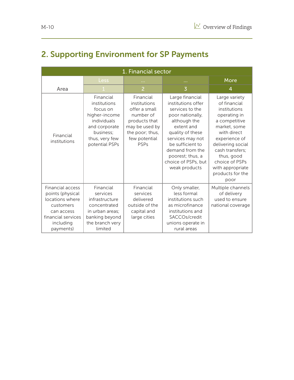### 2. Supporting Environment for SP Payments

| 1. Financial sector                                                                                                                |                                                                                                                                         |                                                                                                                                               |                                                                                                                                                                                                                                                       |                                                                                                                                                                                                                                                        |  |
|------------------------------------------------------------------------------------------------------------------------------------|-----------------------------------------------------------------------------------------------------------------------------------------|-----------------------------------------------------------------------------------------------------------------------------------------------|-------------------------------------------------------------------------------------------------------------------------------------------------------------------------------------------------------------------------------------------------------|--------------------------------------------------------------------------------------------------------------------------------------------------------------------------------------------------------------------------------------------------------|--|
|                                                                                                                                    | <b>Less</b>                                                                                                                             |                                                                                                                                               | <b>A</b> 1999                                                                                                                                                                                                                                         | More                                                                                                                                                                                                                                                   |  |
| Area                                                                                                                               |                                                                                                                                         | $\overline{2}$                                                                                                                                | $\overline{3}$                                                                                                                                                                                                                                        | 4                                                                                                                                                                                                                                                      |  |
| Financial<br>institutions                                                                                                          | Financial<br>institutions<br>focus on<br>higher-income<br>individuals<br>and corporate<br>business;<br>thus, very few<br>potential PSPs | Financial<br>institutions<br>offer a small<br>number of<br>products that<br>may be used by<br>the poor; thus,<br>few potential<br><b>PSPs</b> | Large financial<br>institutions offer<br>services to the<br>poor nationally,<br>although the<br>extent and<br>quality of these<br>services may not<br>be sufficient to<br>demand from the<br>poorest; thus, a<br>choice of PSPs, but<br>weak products | Large variety<br>of financial<br>institutions<br>operating in<br>a competitive<br>market, some<br>with direct<br>experience of<br>delivering social<br>cash transfers;<br>thus, good<br>choice of PSPs<br>with appropriate<br>products for the<br>poor |  |
| Financial access<br>points (physical<br>locations where<br>customers<br>can access<br>financial services<br>including<br>payments) | Financial<br>services<br>infrastructure<br>concentrated<br>in urban areas;<br>banking beyond<br>the branch very<br>limited              | Financial<br>services<br>delivered<br>outside of the<br>capital and<br>large cities                                                           | Only smaller,<br>less formal<br>institutions such<br>as microfinance<br>institutions and<br>SACCOs/credit<br>unions operate in<br>rural areas                                                                                                         | Multiple channels<br>of delivery<br>used to ensure<br>national coverage                                                                                                                                                                                |  |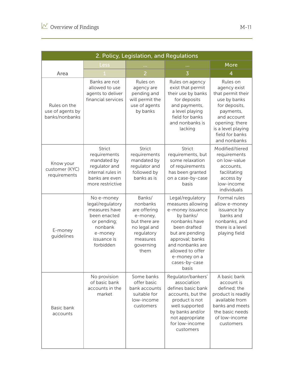| 2. Policy, Legislation, and Regulations            |                                                                                                                                  |                                                                                                                                |                                                                                                                                                                                                                                 |                                                                                                                                                                                       |  |
|----------------------------------------------------|----------------------------------------------------------------------------------------------------------------------------------|--------------------------------------------------------------------------------------------------------------------------------|---------------------------------------------------------------------------------------------------------------------------------------------------------------------------------------------------------------------------------|---------------------------------------------------------------------------------------------------------------------------------------------------------------------------------------|--|
|                                                    | Less                                                                                                                             |                                                                                                                                |                                                                                                                                                                                                                                 | More                                                                                                                                                                                  |  |
| Area                                               |                                                                                                                                  | $\overline{2}$                                                                                                                 | $\overline{3}$                                                                                                                                                                                                                  | 4                                                                                                                                                                                     |  |
| Rules on the<br>use of agents by<br>banks/nonbanks | Banks are not<br>allowed to use<br>agents to deliver<br>financial services                                                       | Rules on<br>agency are<br>pending and<br>will permit the<br>use of agents<br>by banks                                          | Rules on agency<br>exist that permit<br>their use by banks<br>for deposits<br>and payments,<br>a level playing<br>field for banks<br>and nonbanks is<br>lacking                                                                 | Rules on<br>agency exist<br>that permit their<br>use by banks<br>for deposits,<br>payments,<br>and account<br>opening; there<br>is a level playing<br>field for banks<br>and nonbanks |  |
| Know your<br>customer (KYC)<br>requirements        | <b>Strict</b><br>requirements<br>mandated by<br>regulator and<br>internal rules in<br>banks are even<br>more restrictive         | <b>Strict</b><br>requirements<br>mandated by<br>regulator and<br>followed by<br>banks as is                                    | <b>Strict</b><br>requirements, but<br>some relaxation<br>of requirements<br>has been granted<br>on a case-by-case<br>basis                                                                                                      | Modified/tiered<br>requirements<br>on low-value<br>accounts,<br>facilitating<br>access by<br>low-income<br>individuals                                                                |  |
| E-money<br>guidelines                              | No e-money<br>legal/regulatory<br>measures have<br>been enacted<br>or pending;<br>nonbank<br>e-money<br>issuance is<br>forbidden | Banks/<br>nonbanks<br>are offering<br>e-money,<br>but there are<br>no legal and<br>regulatory<br>measures<br>governing<br>them | Legal/regulatory<br>measures allowing<br>e-money issuance<br>by banks/<br>nonbanks have<br>been drafted<br>but are pending<br>approval; banks<br>and nonbanks are<br>allowed to offer<br>e-money on a<br>cases-by-case<br>basis | Formal rules<br>allow e-money<br>issuance by<br>banks and<br>nonbanks, and<br>there is a level<br>playing field                                                                       |  |
| Basic bank<br>accounts                             | No provision<br>of basic bank<br>accounts in the<br>market                                                                       | Some banks<br>offer basic<br>bank accounts<br>suitable for<br>low-income<br>customers                                          | Regulator/bankers'<br>association<br>defines basic bank<br>accounts, but the<br>product is not<br>well supported<br>by banks and/or<br>not appropriate<br>for low-income<br>customers                                           | A basic bank<br>account is<br>defined; the<br>product is readily<br>available from<br>banks and meets<br>the basic needs<br>of low-income<br>customers                                |  |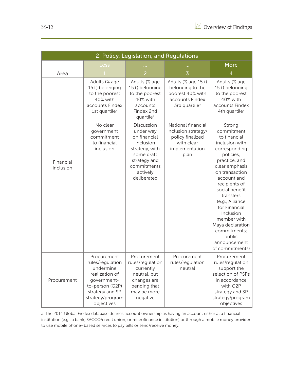|                        | 2. Policy, Legislation, and Regulations                                                                                                               |                                                                                                                                                |                                                                                                            |                                                                                                                                                                                                                                                                                                                                                           |  |  |  |
|------------------------|-------------------------------------------------------------------------------------------------------------------------------------------------------|------------------------------------------------------------------------------------------------------------------------------------------------|------------------------------------------------------------------------------------------------------------|-----------------------------------------------------------------------------------------------------------------------------------------------------------------------------------------------------------------------------------------------------------------------------------------------------------------------------------------------------------|--|--|--|
|                        | Less                                                                                                                                                  |                                                                                                                                                |                                                                                                            | More                                                                                                                                                                                                                                                                                                                                                      |  |  |  |
| Area                   |                                                                                                                                                       | $\overline{2}$                                                                                                                                 | $\overline{3}$                                                                                             | 4                                                                                                                                                                                                                                                                                                                                                         |  |  |  |
|                        | Adults (% age<br>15+) belonging<br>to the poorest<br>40% with<br>accounts Findex<br>1st quartile <sup>a</sup>                                         | Adults (% age<br>15+) belonging<br>to the poorest<br>40% with<br>accounts<br>Findex 2nd<br>quartile <sup>a</sup>                               | Adults (% age 15+)<br>belonging to the<br>poorest 40% with<br>accounts Findex<br>3rd quartile <sup>a</sup> | Adults (% age<br>15+) belonging<br>to the poorest<br>40% with<br>accounts Findex<br>4th quartile <sup>a</sup>                                                                                                                                                                                                                                             |  |  |  |
| Financial<br>inclusion | No clear<br>government<br>commitment<br>to financial<br>inclusion                                                                                     | Discussion<br>under way<br>on financial<br>inclusion<br>strategy, with<br>some draft<br>strategy and<br>commitments<br>actively<br>deliberated | National financial<br>inclusion strategy/<br>policy finalized<br>with clear<br>implementation<br>plan      | Strong<br>commitment<br>to financial<br>inclusion with<br>corresponding<br>policies,<br>practice, and<br>clear emphasis<br>on transaction<br>account and<br>recipients of<br>social benefit<br>transfers<br>(e.g., Alliance<br>for Financial<br>Inclusion<br>member with<br>Maya declaration<br>commitments;<br>public<br>announcement<br>of commitments) |  |  |  |
| Procurement            | Procurement<br>rules/regulation<br>undermine<br>realization of<br>government-<br>to-person (G2P)<br>strategy and SP<br>strategy/program<br>objectives | Procurement<br>rules/regulation<br>currently<br>neutral, but<br>changes are<br>pending that<br>may be more<br>negative                         | Procurement<br>rules/regulation<br>neutral                                                                 | Procurement<br>rules/regulation<br>support the<br>selection of PSPs<br>in accordance<br>with G2P<br>strategy and SP<br>strategy/program<br>objectives                                                                                                                                                                                                     |  |  |  |

a. The 2014 Global Findex database defines account ownership as having an account either at a financial institution (e.g., a bank, SACCO/credit union, or microfinance institution) or through a mobile money provider to use mobile phone–based services to pay bills or send/receive money.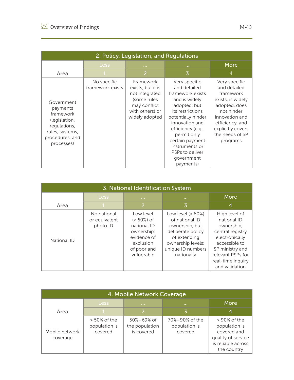| 2. Policy, Legislation, and Regulations                                                                                  |                                 |                                                                                                                      |                                                                                                                                                                                                                                                                       |                                                                                                                                                                                         |  |  |
|--------------------------------------------------------------------------------------------------------------------------|---------------------------------|----------------------------------------------------------------------------------------------------------------------|-----------------------------------------------------------------------------------------------------------------------------------------------------------------------------------------------------------------------------------------------------------------------|-----------------------------------------------------------------------------------------------------------------------------------------------------------------------------------------|--|--|
|                                                                                                                          | Less,                           | <b>ALC UNI</b>                                                                                                       | <b>111</b>                                                                                                                                                                                                                                                            | More                                                                                                                                                                                    |  |  |
| Area                                                                                                                     |                                 | 2                                                                                                                    | 3                                                                                                                                                                                                                                                                     | 4                                                                                                                                                                                       |  |  |
| Government<br>payments<br>framework<br>(legislation,<br>regulations,<br>rules, systems,<br>procedures, and<br>processes) | No specific<br>framework exists | Framework<br>exists, but it is<br>not integrated<br>(some rules<br>may conflict<br>with others) or<br>widely adopted | Very specific<br>and detailed<br>framework exists<br>and is widely<br>adopted, but<br>its restrictions<br>potentially hinder<br>innovation and<br>efficiency (e.g.,<br>permit only<br>certain payment<br>instruments or<br>PSPs to deliver<br>government<br>payments) | Very specific<br>and detailed<br>framework<br>exists, is widely<br>adopted, does<br>not hinder<br>innovation and<br>efficiency, and<br>explicitly covers<br>the needs of SP<br>programs |  |  |

| 3. National Identification System |                                          |                                                                                                                  |                                                                                                                                                       |                                                                                                                                                                                  |  |
|-----------------------------------|------------------------------------------|------------------------------------------------------------------------------------------------------------------|-------------------------------------------------------------------------------------------------------------------------------------------------------|----------------------------------------------------------------------------------------------------------------------------------------------------------------------------------|--|
|                                   | <b>Less</b>                              | <b>ALC UNIT</b>                                                                                                  | <b>COL</b>                                                                                                                                            | <b>More</b>                                                                                                                                                                      |  |
| Area                              |                                          | $\overline{2}$                                                                                                   | 3                                                                                                                                                     | 4                                                                                                                                                                                |  |
| National ID                       | No national<br>or equivalent<br>photo ID | Low level<br>$(< 60\%)$ of<br>national ID<br>ownership;<br>evidence of<br>exclusion<br>of poor and<br>vulnerable | Low level $(< 60\%)$<br>of national ID<br>ownership, but<br>deliberate policy<br>of extending<br>ownership levels;<br>unique ID numbers<br>nationally | High level of<br>national ID<br>ownership;<br>central registry<br>electronically<br>accessible to<br>SP ministry and<br>relevant PSPs for<br>real-time inquiry<br>and validation |  |

| 4. Mobile Network Coverage |                                             |                                                  |                                            |                                                                                                           |  |  |  |  |  |  |
|----------------------------|---------------------------------------------|--------------------------------------------------|--------------------------------------------|-----------------------------------------------------------------------------------------------------------|--|--|--|--|--|--|
|                            | <b>Less</b>                                 | <b>ALC UNIT</b>                                  | <b>ALC UNIT</b>                            | More                                                                                                      |  |  |  |  |  |  |
| Area                       |                                             |                                                  |                                            | 4                                                                                                         |  |  |  |  |  |  |
| Mobile network<br>coverage | $> 50\%$ of the<br>population is<br>covered | $50\% - 69\%$ of<br>the population<br>is covered | 70%-90% of the<br>population is<br>covered | $>90\%$ of the<br>population is<br>covered and<br>quality of service<br>is reliable across<br>the country |  |  |  |  |  |  |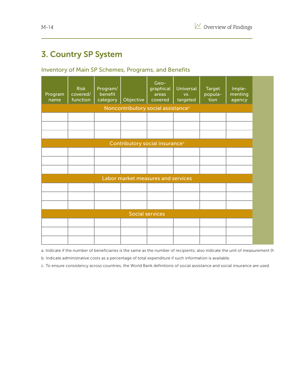#### 3. Country SP System

#### Inventory of Main SP Schemes, Programs, and Benefits

| Program<br>name | Risk<br>covered/<br>function                   | Program/<br>benefit<br>category | Objective | Geo-<br>graphical<br>areas<br>covered      | Universal<br>VS.<br>targeted | Target<br>popula-<br>tion | Imple-<br>menting<br>agency |
|-----------------|------------------------------------------------|---------------------------------|-----------|--------------------------------------------|------------------------------|---------------------------|-----------------------------|
|                 | Noncontributory social assistance <sup>c</sup> |                                 |           |                                            |                              |                           |                             |
|                 |                                                |                                 |           |                                            |                              |                           |                             |
|                 |                                                |                                 |           |                                            |                              |                           |                             |
|                 |                                                |                                 |           | Contributory social insurance <sup>c</sup> |                              |                           |                             |
|                 |                                                |                                 |           |                                            |                              |                           |                             |
|                 |                                                |                                 |           |                                            |                              |                           |                             |
|                 |                                                |                                 |           |                                            |                              |                           |                             |
|                 |                                                |                                 |           | Labor market measures and services         |                              |                           |                             |
|                 |                                                |                                 |           |                                            |                              |                           |                             |
|                 |                                                |                                 |           |                                            |                              |                           |                             |
|                 |                                                |                                 |           | <b>Social services</b>                     |                              |                           |                             |
|                 |                                                |                                 |           |                                            |                              |                           |                             |
|                 |                                                |                                 |           |                                            |                              |                           |                             |
|                 |                                                |                                 |           |                                            |                              |                           |                             |

a. Indicate if the number of beneficiaries is the same as the number of recipients; also indicate the unit of measurement (h

b. Indicate administrative costs as a percentage of total expenditure if such information is available.

c. To ensure consistency across countries, the World Bank definitions of social assistance and social insurance are used.